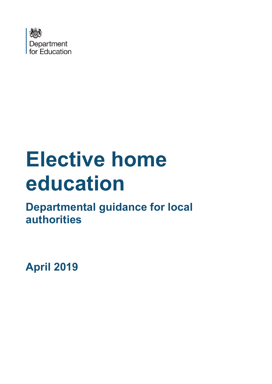

# **Elective home education**

**Departmental guidance for local authorities**

**April 2019**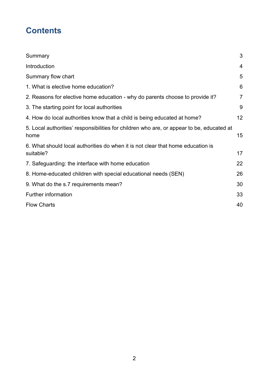## **Contents**

| Summary                                                                                           | 3              |
|---------------------------------------------------------------------------------------------------|----------------|
| Introduction                                                                                      | 4              |
| Summary flow chart                                                                                | 5              |
| 1. What is elective home education?                                                               | 6              |
| 2. Reasons for elective home education - why do parents choose to provide it?                     | $\overline{7}$ |
| 3. The starting point for local authorities                                                       | 9              |
| 4. How do local authorities know that a child is being educated at home?                          | 12             |
| 5. Local authorities' responsibilities for children who are, or appear to be, educated at<br>home | 15             |
| 6. What should local authorities do when it is not clear that home education is<br>suitable?      | 17             |
| 7. Safeguarding: the interface with home education                                                | 22             |
| 8. Home-educated children with special educational needs (SEN)                                    | 26             |
| 9. What do the s.7 requirements mean?                                                             | 30             |
| <b>Further information</b>                                                                        | 33             |
| <b>Flow Charts</b>                                                                                | 40             |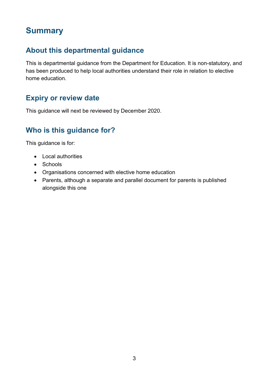## <span id="page-2-0"></span>**Summary**

### **About this departmental guidance**

This is departmental guidance from the Department for Education. It is non-statutory, and has been produced to help local authorities understand their role in relation to elective home education.

#### **Expiry or review date**

This guidance will next be reviewed by December 2020.

### **Who is this guidance for?**

This guidance is for:

- Local authorities
- Schools
- Organisations concerned with elective home education
- Parents, although a separate and parallel document for parents is published alongside this one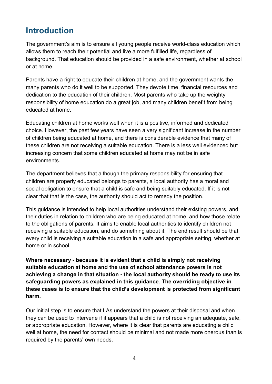## <span id="page-3-0"></span>**Introduction**

The government's aim is to ensure all young people receive world-class education which allows them to reach their potential and live a more fulfilled life, regardless of background. That education should be provided in a safe environment, whether at school or at home.

Parents have a right to educate their children at home, and the government wants the many parents who do it well to be supported. They devote time, financial resources and dedication to the education of their children. Most parents who take up the weighty responsibility of home education do a great job, and many children benefit from being educated at home.

Educating children at home works well when it is a positive, informed and dedicated choice. However, the past few years have seen a very significant increase in the number of children being educated at home, and there is considerable evidence that many of these children are not receiving a suitable education. There is a less well evidenced but increasing concern that some children educated at home may not be in safe environments.

The department believes that although the primary responsibility for ensuring that children are properly educated belongs to parents, a local authority has a moral and social obligation to ensure that a child is safe and being suitably educated. If it is not clear that that is the case, the authority should act to remedy the position.

This guidance is intended to help local authorities understand their existing powers, and their duties in relation to children who are being educated at home, and how those relate to the obligations of parents. It aims to enable local authorities to identify children not receiving a suitable education, and do something about it. The end result should be that every child is receiving a suitable education in a safe and appropriate setting, whether at home or in school.

**Where necessary - because it is evident that a child is simply not receiving suitable education at home and the use of school attendance powers is not achieving a change in that situation - the local authority should be ready to use its safeguarding powers as explained in this guidance. The overriding objective in these cases is to ensure that the child's development is protected from significant harm.** 

Our initial step is to ensure that LAs understand the powers at their disposal and when they can be used to intervene if it appears that a child is not receiving an adequate, safe, or appropriate education. However, where it is clear that parents are educating a child well at home, the need for contact should be minimal and not made more onerous than is required by the parents' own needs.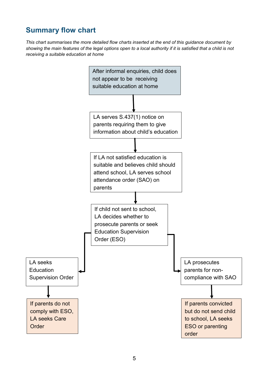## <span id="page-4-0"></span>**Summary flow chart**

*This chart summarises the more detailed flow charts inserted at the end of this guidance document by showing the main features of the legal options open to a local authority if it is satisfied that a child is not receiving a suitable education at home*

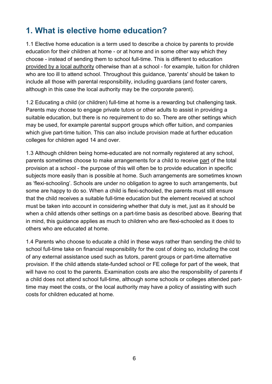## <span id="page-5-0"></span>**1. What is elective home education?**

1.1 Elective home education is a term used to describe a choice by parents to provide education for their children at home - or at home and in some other way which they choose - instead of sending them to school full-time. This is different to education provided by a local authority otherwise than at a school - for example, tuition for children who are too ill to attend school. Throughout this guidance, 'parents' should be taken to include all those with parental responsibility, including guardians (and foster carers, although in this case the local authority may be the corporate parent).

1.2 Educating a child (or children) full-time at home is a rewarding but challenging task. Parents may choose to engage private tutors or other adults to assist in providing a suitable education, but there is no requirement to do so. There are other settings which may be used, for example parental support groups which offer tuition, and companies which give part-time tuition. This can also include provision made at further education colleges for children aged 14 and over.

1.3 Although children being home-educated are not normally registered at any school, parents sometimes choose to make arrangements for a child to receive part of the total provision at a school - the purpose of this will often be to provide education in specific subjects more easily than is possible at home. Such arrangements are sometimes known as 'flexi-schooling'. Schools are under no obligation to agree to such arrangements, but some are happy to do so. When a child is flexi-schooled, the parents must still ensure that the child receives a suitable full-time education but the element received at school must be taken into account in considering whether that duty is met, just as it should be when a child attends other settings on a part-time basis as described above. Bearing that in mind, this guidance applies as much to children who are flexi-schooled as it does to others who are educated at home.

1.4 Parents who choose to educate a child in these ways rather than sending the child to school full-time take on financial responsibility for the cost of doing so, including the cost of any external assistance used such as tutors, parent groups or part-time alternative provision. If the child attends state-funded school or FE college for part of the week, that will have no cost to the parents. Examination costs are also the responsibility of parents if a child does not attend school full-time, although some schools or colleges attended parttime may meet the costs, or the local authority may have a policy of assisting with such costs for children educated at home.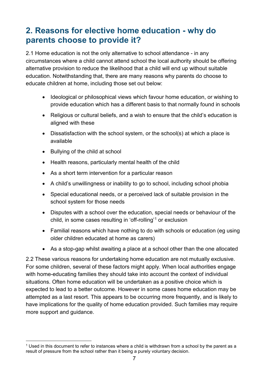## <span id="page-6-0"></span>**2. Reasons for elective home education - why do parents choose to provide it?**

2.1 Home education is not the only alternative to school attendance - in any circumstances where a child cannot attend school the local authority should be offering alternative provision to reduce the likelihood that a child will end up without suitable education. Notwithstanding that, there are many reasons why parents do choose to educate children at home, including those set out below:

- Ideological or philosophical views which favour home education, or wishing to provide education which has a different basis to that normally found in schools
- Religious or cultural beliefs, and a wish to ensure that the child's education is aligned with these
- Dissatisfaction with the school system, or the school(s) at which a place is available
- Bullying of the child at school
- Health reasons, particularly mental health of the child
- As a short term intervention for a particular reason
- A child's unwillingness or inability to go to school, including school phobia
- Special educational needs, or a perceived lack of suitable provision in the school system for those needs
- Disputes with a school over the education, special needs or behaviour of the child, in some cases resulting in 'off-rolling'[1](#page-6-1) or exclusion
- Familial reasons which have nothing to do with schools or education (eg using older children educated at home as carers)
- As a stop-gap whilst awaiting a place at a school other than the one allocated

2.2 These various reasons for undertaking home education are not mutually exclusive. For some children, several of these factors might apply. When local authorities engage with home-educating families they should take into account the context of individual situations. Often home education will be undertaken as a positive choice which is expected to lead to a better outcome. However in some cases home education may be attempted as a last resort. This appears to be occurring more frequently, and is likely to have implications for the quality of home education provided. Such families may require more support and guidance.

<span id="page-6-1"></span><sup>-</sup><sup>1</sup> Used in this document to refer to instances where a child is withdrawn from a school by the parent as a result of pressure from the school rather than it being a purely voluntary decision.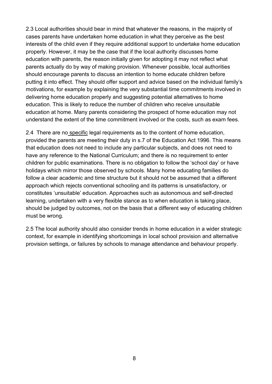2.3 Local authorities should bear in mind that whatever the reasons, in the majority of cases parents have undertaken home education in what they perceive as the best interests of the child even if they require additional support to undertake home education properly. However, it may be the case that if the local authority discusses home education with parents, the reason initially given for adopting it may not reflect what parents actually do by way of making provision. Whenever possible, local authorities should encourage parents to discuss an intention to home educate children before putting it into effect. They should offer support and advice based on the individual family's motivations, for example by explaining the very substantial time commitments involved in delivering home education properly and suggesting potential alternatives to home education. This is likely to reduce the number of children who receive unsuitable education at home. Many parents considering the prospect of home education may not understand the extent of the time commitment involved or the costs, such as exam fees.

2.4 There are no specific legal requirements as to the content of home education, provided the parents are meeting their duty in s.7 of the Education Act 1996. This means that education does not need to include any particular subjects, and does not need to have any reference to the National Curriculum; and there is no requirement to enter children for public examinations. There is no obligation to follow the 'school day' or have holidays which mirror those observed by schools. Many home educating families do follow a clear academic and time structure but it should not be assumed that a different approach which rejects conventional schooling and its patterns is unsatisfactory, or constitutes 'unsuitable' education. Approaches such as autonomous and self-directed learning, undertaken with a very flexible stance as to when education is taking place, should be judged by outcomes, not on the basis that a different way of educating children must be wrong.

2.5 The local authority should also consider trends in home education in a wider strategic context, for example in identifying shortcomings in local school provision and alternative provision settings, or failures by schools to manage attendance and behaviour properly.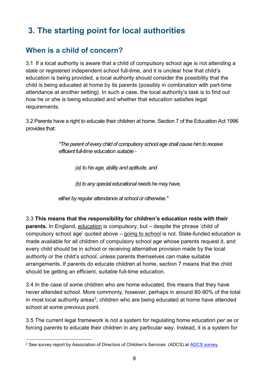# <span id="page-8-0"></span>**3. The starting point for local authorities**

### **When is a child of concern?**

3.1 If a local authority is aware that a child of compulsory school age is not attending a state or registered independent school full-time, and it is unclear how that child's education is being provided, a local authority should consider the possibility that the child is being educated at home by its parents (possibly in combination with part-time attendance at another setting). In such a case, the local authority's task is to find out how he or she is being educated and whether that education satisfies legal requirements.

3.2 Parents have a right to educate their children at home. Section 7 of the Education Act 1996 provides that:

> *"The parent of every child of compulsory school age shall cause him to receive efficient full-time education suitable -*

*(a) to his age, ability and aptitude, and* 

*(b) to any special educational needs he may have,*

*either by regular attendance at school or otherwise."* 

#### 3.3 **This means that the responsibility for children's education rests with their**

**parents.** In England, education is compulsory, but – despite the phrase 'child of compulsory school age' quoted above – going to school is not. State-funded education is made available for all children of compulsory school age whose parents request it, and every child should be in school or receiving alternative provision made by the local authority or the child's school, unless parents themselves can make suitable arrangements. If parents do educate children at home, section 7 means that the child should be getting an efficient, suitable full-time education.

3.4 In the case of some children who are home educated, this means that they have never attended school. More commonly, however, perhaps in around 80-90% of the total in most local authority areas<sup>2</sup>, children who are being educated at home have attended school at some previous point.

3.5 The current legal framework is not a system for regulating home education *per se* or forcing parents to educate their children in any particular way. Instead, it is a system for

<span id="page-8-1"></span><sup>-</sup><sup>2</sup> See survey report by Association of Directors of Children's Services (ADCS) at [ADCS survey](http://adcs.org.uk/education/article/elective-home-education-survey-2018)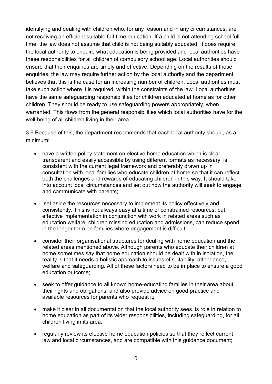identifying and dealing with children who, for any reason and in any circumstances, are not receiving an efficient suitable full-time education. If a child is not attending school fulltime, the law does not assume that child is not being suitably educated. It does require the local authority to enquire what education is being provided and local authorities have these responsibilities for all children of compulsory school age. Local authorities should ensure that their enquiries are timely and effective. Depending on the results of those enquiries, the law may require further action by the local authority and the department believes that this is the case for an increasing number of children. Local authorities must take such action where it is required, within the constraints of the law. Local authorities have the same safeguarding responsibilities for children educated at home as for other children. They should be ready to use safeguarding powers appropriately, when warranted. This flows from the general responsibilities which local authorities have for the well-being of all children living in their area.

3.6 Because of this, the department recommends that each local authority should, as a minimum:

- have a written policy statement on elective home education which is clear, transparent and easily accessible by using different formats as necessary, is consistent with the current legal framework and preferably drawn up in consultation with local families who educate children at home so that it can reflect both the challenges and rewards of educating children in this way. It should take into account local circumstances and set out how the authority will seek to engage and communicate with parents;
- set aside the resources necessary to implement its policy effectively and consistently. This is not always easy at a time of constrained resources; but effective implementation in conjunction with work in related areas such as education welfare, children missing education and admissions, can reduce spend in the longer term on families where engagement is difficult;
- consider their organisational structures for dealing with home education and the related areas mentioned above. Although parents who educate their children at home sometimes say that home education should be dealt with in isolation, the reality is that it needs a holistic approach to issues of suitability, attendance, welfare and safeguarding. All of these factors need to be in place to ensure a good education outcome;
- seek to offer guidance to all known home-educating families in their area about their rights and obligations, and also provide advice on good practice and available resources for parents who request it;
- make it clear in all documentation that the local authority sees its role in relation to home education as part of its wider responsibilities, including safeguarding, for all children living in its area;
- regularly review its elective home education policies so that they reflect current law and local circumstances, and are compatible with this guidance document;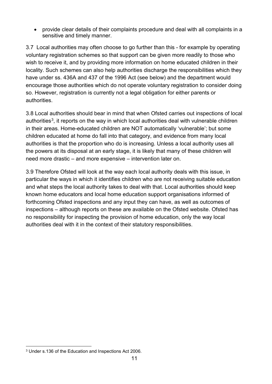• provide clear details of their complaints procedure and deal with all complaints in a sensitive and timely manner.

3.7 Local authorities may often choose to go further than this - for example by operating voluntary registration schemes so that support can be given more readily to those who wish to receive it, and by providing more information on home educated children in their locality. Such schemes can also help authorities discharge the responsibilities which they have under ss. 436A and 437 of the 1996 Act (see below) and the department would encourage those authorities which do not operate voluntary registration to consider doing so. However, registration is currently not a legal obligation for either parents or authorities.

3.8 Local authorities should bear in mind that when Ofsted carries out inspections of local authorities<sup>[3](#page-10-0)</sup>, it reports on the way in which local authorities deal with vulnerable children in their areas. Home-educated children are NOT automatically 'vulnerable'; but some children educated at home do fall into that category, and evidence from many local authorities is that the proportion who do is increasing. Unless a local authority uses all the powers at its disposal at an early stage, it is likely that many of these children will need more drastic – and more expensive – intervention later on.

3.9 Therefore Ofsted will look at the way each local authority deals with this issue, in particular the ways in which it identifies children who are not receiving suitable education and what steps the local authority takes to deal with that. Local authorities should keep known home educators and local home education support organisations informed of forthcoming Ofsted inspections and any input they can have, as well as outcomes of inspections – although reports on these are available on the Ofsted website. Ofsted has no responsibility for inspecting the provision of home education, only the way local authorities deal with it in the context of their statutory responsibilities.

<span id="page-10-0"></span><sup>&</sup>lt;u>.</u> <sup>3</sup> Under s.136 of the Education and Inspections Act 2006.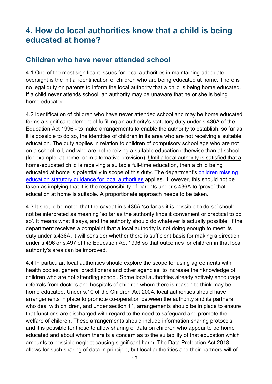## <span id="page-11-0"></span>**4. How do local authorities know that a child is being educated at home?**

#### **Children who have never attended school**

4.1 One of the most significant issues for local authorities in maintaining adequate oversight is the initial identification of children who are being educated at home. There is no legal duty on parents to inform the local authority that a child is being home educated. If a child never attends school, an authority may be unaware that he or she is being home educated.

4.2 Identification of children who have never attended school and may be home educated forms a significant element of fulfilling an authority's statutory duty under s.436A of the Education Act 1996 - to make arrangements to enable the authority to establish, so far as it is possible to do so, the identities of children in its area who are not receiving a suitable education. The duty applies in relation to children of compulsory school age who are not on a school roll, and who are not receiving a suitable education otherwise than at school (for example, at home, or in alternative provision). Until a local authority is satisfied that a home-educated child is receiving a suitable full-time education, then a child being educated at home is potentially in scope of this duty. The department's [children missing](https://www.gov.uk/government/publications/children-missing-education)  [education statutory guidance for local authorities](https://www.gov.uk/government/publications/children-missing-education) applies. However, this should not be taken as implying that it is the responsibility of parents under s.436A to 'prove' that education at home is suitable. A proportionate approach needs to be taken.

4.3 It should be noted that the caveat in s.436A 'so far as it is possible to do so' should not be interpreted as meaning 'so far as the authority finds it convenient or practical to do so'. It means what it says, and the authority should do whatever is actually possible. If the department receives a complaint that a local authority is not doing enough to meet its duty under s.436A, it will consider whether there is sufficient basis for making a direction under s.496 or s.497 of the Education Act 1996 so that outcomes for children in that local authority's area can be improved.

4.4 In particular, local authorities should explore the scope for using agreements with health bodies, general practitioners and other agencies, to increase their knowledge of children who are not attending school. Some local authorities already actively encourage referrals from doctors and hospitals of children whom there is reason to think may be home educated. Under s.10 of the Children Act 2004, local authorities should have arrangements in place to promote co-operation between the authority and its partners who deal with children, and under section 11, arrangements should be in place to ensure that functions are discharged with regard to the need to safeguard and promote the welfare of children. These arrangements should include information sharing protocols and it is possible for these to allow sharing of data on children who appear to be home educated and about whom there is a concern as to the suitability of that education which amounts to possible neglect causing significant harm. The Data Protection Act 2018 allows for such sharing of data in principle, but local authorities and their partners will of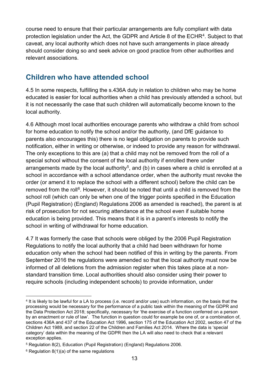course need to ensure that their particular arrangements are fully compliant with data protection legislation under the Act, the GDPR and Article 8 of the  $ECHR<sup>4</sup>$ . Subject to that caveat, any local authority which does not have such arrangements in place already should consider doing so and seek advice on good practice from other authorities and relevant associations.

#### **Children who have attended school**

4.5 In some respects, fulfilling the s.436A duty in relation to children who may be home educated is easier for local authorities when a child has previously attended a school, but it is not necessarily the case that such children will automatically become known to the local authority.

4.6 Although most local authorities encourage parents who withdraw a child from school for home education to notify the school and/or the authority, (and DfE guidance to parents also encourages this) there is no legal obligation on parents to provide such notification, either in writing or otherwise, or indeed to provide any reason for withdrawal. The only exceptions to this are (a) that a child may not be removed from the roll of a special school without the consent of the local authority if enrolled there under arrangements made by the local authority<sup>[5](#page-12-1)</sup>, and (b) in cases where a child is enrolled at a school in accordance with a school attendance order, when the authority must revoke the order (or amend it to replace the school with a different school) before the child can be removed from the roll<sup>6</sup>. However, it should be noted that until a child is removed from the school roll (which can only be when one of the trigger points specified in the Education (Pupil Registration) (England) Regulations 2006 as amended is reached), the parent is at risk of prosecution for not securing attendance at the school even if suitable home education is being provided. This means that it is in a parent's interests to notify the school in writing of withdrawal for home education.

4.7 It was formerly the case that schools were obliged by the 2006 Pupil Registration Regulations to notify the local authority that a child had been withdrawn for home education only when the school had been notified of this in writing by the parents. From September 2016 the regulations were amended so that the local authority must now be informed of all deletions from the admission register when this takes place at a nonstandard transition time. Local authorities should also consider using their power to require schools (including independent schools) to provide information, under

<span id="page-12-0"></span><sup>-</sup><sup>4</sup> It is likely to be lawful for a LA to process (i.e. record and/or use) such information, on the basis that the processing would be necessary for the performance of a public task within the meaning of the GDPR and the Data Protection Act 2018; specifically, necessary for 'the exercise of a function conferred on a person by an enactment or rule of law'. The function in question could for example be one of, or a combination of, sections 436A and 437 of the Education Act 1996, section 175 of the Education Act 2002, section 47 of the Children Act 1989, and section 22 of the Children and Families Act 2014. Where the data is 'special category' data within the meaning of the GDPR then the LA will also need to check that a relevant exception applies.

<span id="page-12-1"></span><sup>5</sup> Regulation 8(2), Education (Pupil Registration) (England) Regulations 2006.

<span id="page-12-2"></span> $6$  Regulation 8(1)(a) of the same regulations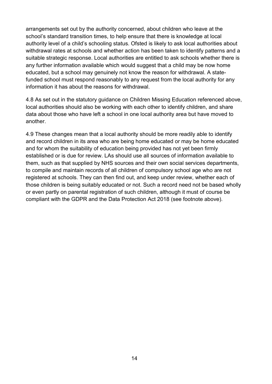arrangements set out by the authority concerned, about children who leave at the school's standard transition times, to help ensure that there is knowledge at local authority level of a child's schooling status. Ofsted is likely to ask local authorities about withdrawal rates at schools and whether action has been taken to identify patterns and a suitable strategic response. Local authorities are entitled to ask schools whether there is any further information available which would suggest that a child may be now home educated, but a school may genuinely not know the reason for withdrawal. A statefunded school must respond reasonably to any request from the local authority for any information it has about the reasons for withdrawal.

4.8 As set out in the statutory guidance on Children Missing Education referenced above, local authorities should also be working with each other to identify children, and share data about those who have left a school in one local authority area but have moved to another.

4.9 These changes mean that a local authority should be more readily able to identify and record children in its area who are being home educated or may be home educated and for whom the suitability of education being provided has not yet been firmly established or is due for review. LAs should use all sources of information available to them, such as that supplied by NHS sources and their own social services departments, to compile and maintain records of all children of compulsory school age who are not registered at schools. They can then find out, and keep under review, whether each of those children is being suitably educated or not. Such a record need not be based wholly or even partly on parental registration of such children, although it must of course be compliant with the GDPR and the Data Protection Act 2018 (see footnote above).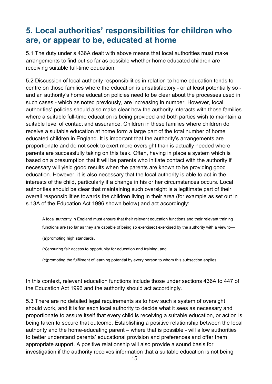## <span id="page-14-0"></span>**5. Local authorities' responsibilities for children who are, or appear to be, educated at home**

5.1 The duty under s.436A dealt with above means that local authorities must make arrangements to find out so far as possible whether home educated children are receiving suitable full-time education.

5.2 Discussion of local authority responsibilities in relation to home education tends to centre on those families where the education is unsatisfactory - or at least potentially so and an authority's home education policies need to be clear about the processes used in such cases - which as noted previously, are increasing in number. However, local authorities' policies should also make clear how the authority interacts with those families where a suitable full-time education is being provided and both parties wish to maintain a suitable level of contact and assurance. Children in these families where children do receive a suitable education at home form a large part of the total number of home educated children in England. It is important that the authority's arrangements are proportionate and do not seek to exert more oversight than is actually needed where parents are successfully taking on this task. Often, having in place a system which is based on a presumption that it will be parents who initiate contact with the authority if necessary will yield good results when the parents are known to be providing good education. However, it is also necessary that the local authority is able to act in the interests of the child, particularly if a change in his or her circumstances occurs. Local authorities should be clear that maintaining such oversight is a legitimate part of their overall responsibilities towards the children living in their area (for example as set out in s.13A of the Education Act 1996 shown below) and act accordingly:

A local authority in England must ensure that their relevant education functions and their relevant training functions are (so far as they are capable of being so exercised) exercised by the authority with a view to—

(a)promoting high standards,

(b)ensuring fair access to opportunity for education and training, and

(c)promoting the fulfilment of learning potential by every person to whom this subsection applies.

In this context, relevant education functions include those under sections 436A to 447 of the Education Act 1996 and the authority should act accordingly.

5.3 There are no detailed legal requirements as to how such a system of oversight should work, and it is for each local authority to decide what it sees as necessary and proportionate to assure itself that every child is receiving a suitable education, or action is being taken to secure that outcome. Establishing a positive relationship between the local authority and the home-educating parent – where that is possible - will allow authorities to better understand parents' educational provision and preferences and offer them appropriate support. A positive relationship will also provide a sound basis for investigation if the authority receives information that a suitable education is not being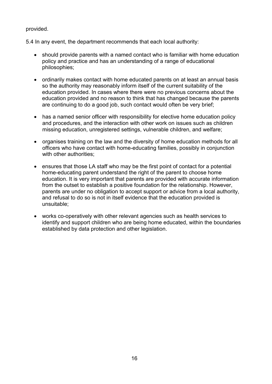provided.

5.4 In any event, the department recommends that each local authority:

- should provide parents with a named contact who is familiar with home education policy and practice and has an understanding of a range of educational philosophies;
- ordinarily makes contact with home educated parents on at least an annual basis so the authority may reasonably inform itself of the current suitability of the education provided. In cases where there were no previous concerns about the education provided and no reason to think that has changed because the parents are continuing to do a good job, such contact would often be very brief;
- has a named senior officer with responsibility for elective home education policy and procedures, and the interaction with other work on issues such as children missing education, unregistered settings, vulnerable children, and welfare;
- organises training on the law and the diversity of home education methods for all officers who have contact with home-educating families, possibly in conjunction with other authorities:
- ensures that those LA staff who may be the first point of contact for a potential home-educating parent understand the right of the parent to choose home education. It is very important that parents are provided with accurate information from the outset to establish a positive foundation for the relationship. However, parents are under no obligation to accept support or advice from a local authority, and refusal to do so is not in itself evidence that the education provided is unsuitable;
- works co-operatively with other relevant agencies such as health services to identify and support children who are being home educated, within the boundaries established by data protection and other legislation.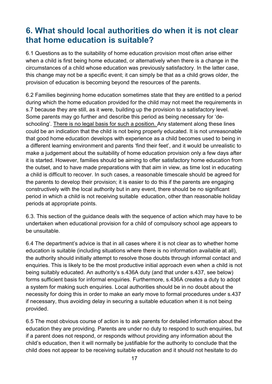## <span id="page-16-0"></span>**6. What should local authorities do when it is not clear that home education is suitable?**

6.1 Questions as to the suitability of home education provision most often arise either when a child is first being home educated, or alternatively when there is a change in the circumstances of a child whose education was previously satisfactory. In the latter case, this change may not be a specific event; it can simply be that as a child grows older, the provision of education is becoming beyond the resources of the parents.

6.2 Families beginning home education sometimes state that they are entitled to a period during which the home education provided for the child may not meet the requirements in s.7 because they are still, as it were, building up the provision to a satisfactory level. Some parents may go further and describe this period as being necessary for 'deschooling'. There is no legal basis for such a position. Any statement along these lines could be an indication that the child is not being properly educated. It is not unreasonable that good home education develops with experience as a child becomes used to being in a different learning environment and parents 'find their feet', and it would be unrealistic to make a judgement about the suitability of home education provision only a few days after it is started. However, families should be aiming to offer satisfactory home education from the outset, and to have made preparations with that aim in view, as time lost in educating a child is difficult to recover. In such cases, a reasonable timescale should be agreed for the parents to develop their provision; it is easier to do this if the parents are engaging constructively with the local authority but in any event, there should be no significant period in which a child is not receiving suitable education, other than reasonable holiday periods at appropriate points.

6.3. This section of the guidance deals with the sequence of action which may have to be undertaken when educational provision for a child of compulsory school age appears to be unsuitable.

6.4 The department's advice is that in all cases where it is not clear as to whether home education is suitable (including situations where there is no information available at all), the authority should initially attempt to resolve those doubts through informal contact and enquiries. This is likely to be the most productive initial approach even when a child is not being suitably educated. An authority's s.436A duty (and that under s.437, see below) forms sufficient basis for informal enquiries. Furthermore, s.436A creates a duty to adopt a system for making such enquiries. Local authorities should be in no doubt about the necessity for doing this in order to make an early move to formal procedures under s.437 if necessary, thus avoiding delay in securing a suitable education when it is not being provided.

6.5 The most obvious course of action is to ask parents for detailed information about the education they are providing. Parents are under no duty to respond to such enquiries, but if a parent does not respond, or responds without providing any information about the child's education, then it will normally be justifiable for the authority to conclude that the child does not appear to be receiving suitable education and it should not hesitate to do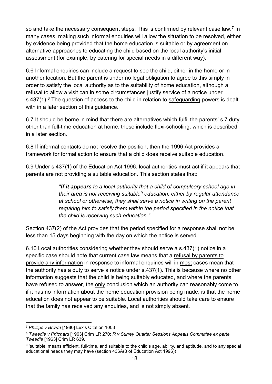so and take the necessary consequent steps. This is confirmed by relevant case law.<sup>[7](#page-17-0)</sup> In many cases, making such informal enquiries will allow the situation to be resolved, either by evidence being provided that the home education is suitable or by agreement on alternative approaches to educating the child based on the local authority's initial assessment (for example, by catering for special needs in a different way).

6.6 Informal enquiries can include a request to see the child, either in the home or in another location. But the parent is under no legal obligation to agree to this simply in order to satisfy the local authority as to the suitability of home education, although a refusal to allow a visit can in some circumstances justify service of a notice under s.437(1).<sup>[8](#page-17-1)</sup> The question of access to the child in relation to safeguarding powers is dealt with in a later section of this guidance.

6.7 It should be borne in mind that there are alternatives which fulfil the parents' s.7 duty other than full-time education at home: these include flexi-schooling, which is described in a later section.

6.8 If informal contacts do not resolve the position, then the 1996 Act provides a framework for formal action to ensure that a child does receive suitable education.

6.9 Under s.437(1) of the Education Act 1996, local authorities must act if it appears that parents are not providing a suitable education. This section states that:

> *"If it appears to a local authority that a child of compulsory school age in their area is not receiving suitable[9](#page-17-2) education, either by regular attendance at school or otherwise, they shall serve a notice in writing on the parent requiring him to satisfy them within the period specified in the notice that the child is receiving such education."*

Section 437(2) of the Act provides that the period specified for a response shall not be less than 15 days beginning with the day on which the notice is served.

6.10 Local authorities considering whether they should serve a s.437(1) notice in a specific case should note that current case law means that a refusal by parents to provide any information in response to informal enquiries will in most cases mean that the authority has a duty to serve a notice under s.437(1). This is because where no other information suggests that the child is being suitably educated, and where the parents have refused to answer, the only conclusion which an authority can reasonably come to, if it has no information about the home education provision being made, is that the home education does not appear to be suitable. Local authorities should take care to ensure that the family has received any enquiries, and is not simply absent.

<span id="page-17-0"></span><sup>&</sup>lt;u>.</u> <sup>7</sup> *Phillips v Brown* [1980] Lexis Citation 1003

<span id="page-17-1"></span><sup>8</sup> *Tweedie v Pritchard* [1963] Crim LR 270; *R v Surrey Quarter Sessions Appeals Committee ex parte Tweedie* [1963] Crim LR 639.

<span id="page-17-2"></span><sup>9</sup> 'suitable' means efficient, full-time, and suitable to the child's age, ability, and aptitude, and to any special educational needs they may have (section 436A(3 of Education Act 1996))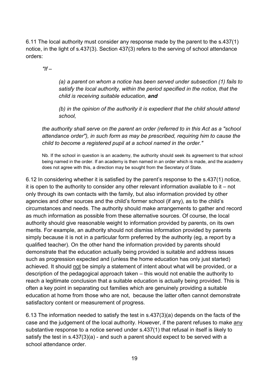6.11 The local authority must consider any response made by the parent to the s.437(1) notice, in the light of s.437(3). Section 437(3) refers to the serving of school attendance orders:

*"If –* 

*(a) a parent on whom a notice has been served under subsection (1) fails to*  satisfy the local authority, within the period specified in the notice, that the *child is receiving suitable education, and*

*(b) in the opinion of the authority it is expedient that the child should attend school,*

*the authority shall serve on the parent an order (referred to in this Act as a "school attendance order"), in such form as may be prescribed, requiring him to cause the child to become a registered pupil at a school named in the order."* 

Nb. If the school in question is an academy, the authority should seek its agreement to that school being named in the order. If an academy is then named in an order which is made, and the academy does not agree with this, a direction may be sought from the Secretary of State.

6.12 In considering whether it is satisfied by the parent's response to the s.437(1) notice, it is open to the authority to consider any other relevant information available to it – not only through its own contacts with the family, but also information provided by other agencies and other sources and the child's former school (if any), as to the child's circumstances and needs. The authority should make arrangements to gather and record as much information as possible from these alternative sources. Of course, the local authority should give reasonable weight to information provided by parents, on its own merits. For example, an authority should not dismiss information provided by parents simply because it is not in a particular form preferred by the authority (eg, a report by a qualified teacher). On the other hand the information provided by parents should demonstrate that the education actually being provided is suitable and address issues such as progression expected and (unless the home education has only just started) achieved. It should not be simply a statement of intent about what will be provided, or a description of the pedagogical approach taken – this would not enable the authority to reach a legitimate conclusion that a suitable education is actually being provided. This is often a key point in separating out families which are genuinely providing a suitable education at home from those who are not, because the latter often cannot demonstrate satisfactory content or measurement of progress.

6.13 The information needed to satisfy the test in s.437(3)(a) depends on the facts of the case and the judgement of the local authority. However, if the parent refuses to make any substantive response to a notice served under s.437(1) that refusal in itself is likely to satisfy the test in s.437(3)(a) - and such a parent should expect to be served with a school attendance order.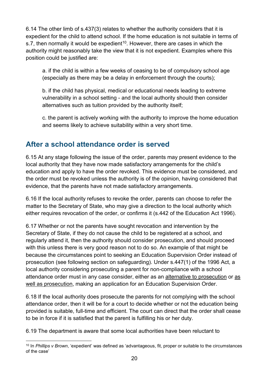6.14 The other limb of s.437(3) relates to whether the authority considers that it is expedient for the child to attend school. If the home education is not suitable in terms of s.7, then normally it would be expedient<sup>10</sup>. However, there are cases in which the authority might reasonably take the view that it is not expedient. Examples where this position could be justified are:

a. if the child is within a few weeks of ceasing to be of compulsory school age (especially as there may be a delay in enforcement through the courts);

b. if the child has physical, medical or educational needs leading to extreme vulnerability in a school setting - and the local authority should then consider alternatives such as tuition provided by the authority itself;

c. the parent is actively working with the authority to improve the home education and seems likely to achieve suitability within a very short time.

#### **After a school attendance order is served**

6.15 At any stage following the issue of the order, parents may present evidence to the local authority that they have now made satisfactory arrangements for the child's education and apply to have the order revoked. This evidence must be considered, and the order must be revoked unless the authority is of the opinion, having considered that evidence, that the parents have not made satisfactory arrangements.

6.16 If the local authority refuses to revoke the order, parents can choose to refer the matter to the Secretary of State, who may give a direction to the local authority which either requires revocation of the order, or confirms it (s.442 of the Education Act 1996).

6.17 Whether or not the parents have sought revocation and intervention by the Secretary of State, if they do not cause the child to be registered at a school, and regularly attend it, then the authority should consider prosecution, and should proceed with this unless there is very good reason not to do so. An example of that might be because the circumstances point to seeking an Education Supervision Order instead of prosecution (see following section on safeguarding). Under s.447(1) of the 1996 Act, a local authority considering prosecuting a parent for non-compliance with a school attendance order must in any case consider, either as an alternative to prosecution or as well as prosecution, making an application for an Education Supervision Order.

6.18 If the local authority does prosecute the parents for not complying with the school attendance order, then it will be for a court to decide whether or not the education being provided is suitable, full-time and efficient. The court can direct that the order shall cease to be in force if it is satisfied that the parent is fulfilling his or her duty.

6.19 The department is aware that some local authorities have been reluctant to

<span id="page-19-0"></span><sup>-</sup><sup>10</sup> In *Phillips v Brown*, 'expedient' was defined as 'advantageous, fit, proper or suitable to the circumstances of the case'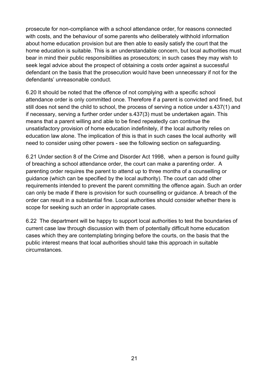prosecute for non-compliance with a school attendance order, for reasons connected with costs, and the behaviour of some parents who deliberately withhold information about home education provision but are then able to easily satisfy the court that the home education is suitable. This is an understandable concern, but local authorities must bear in mind their public responsibilities as prosecutors; in such cases they may wish to seek legal advice about the prospect of obtaining a costs order against a successful defendant on the basis that the prosecution would have been unnecessary if not for the defendants' unreasonable conduct.

6.20 It should be noted that the offence of not complying with a specific school attendance order is only committed once. Therefore if a parent is convicted and fined, but still does not send the child to school, the process of serving a notice under s.437(1) and if necessary, serving a further order under s.437(3) must be undertaken again. This means that a parent willing and able to be fined repeatedly can continue the unsatisfactory provision of home education indefinitely, if the local authority relies on education law alone. The implication of this is that in such cases the local authority will need to consider using other powers - see the following section on safeguarding.

6.21 Under section 8 of the Crime and Disorder Act 1998, when a person is found guilty of breaching a school attendance order, the court can make a parenting order. A parenting order requires the parent to attend up to three months of a counselling or guidance (which can be specified by the local authority). The court can add other requirements intended to prevent the parent committing the offence again. Such an order can only be made if there is provision for such counselling or guidance. A breach of the order can result in a substantial fine. Local authorities should consider whether there is scope for seeking such an order in appropriate cases.

6.22 The department will be happy to support local authorities to test the boundaries of current case law through discussion with them of potentially difficult home education cases which they are contemplating bringing before the courts, on the basis that the public interest means that local authorities should take this approach in suitable circumstances.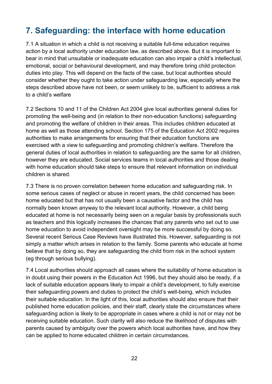## <span id="page-21-0"></span>**7. Safeguarding: the interface with home education**

7.1 A situation in which a child is not receiving a suitable full-time education requires action by a local authority under education law, as described above. But it is important to bear in mind that unsuitable or inadequate education can also impair a child's intellectual, emotional, social or behavioural development, and may therefore bring child protection duties into play. This will depend on the facts of the case, but local authorities should consider whether they ought to take action under safeguarding law, especially where the steps described above have not been, or seem unlikely to be, sufficient to address a risk to a child's welfare

7.2 Sections 10 and 11 of the Children Act 2004 give local authorities general duties for promoting the well-being and (in relation to their non-education functions) safeguarding and promoting the welfare of children in their areas. This includes children educated at home as well as those attending school. Section 175 of the Education Act 2002 requires authorities to make arrangements for ensuring that their education functions are exercised with a view to safeguarding and promoting children's welfare. Therefore the general duties of local authorities in relation to safeguarding are the same for all children, however they are educated. Social services teams in local authorities and those dealing with home education should take steps to ensure that relevant information on individual children is shared.

7.3 There is no proven correlation between home education and safeguarding risk. In some serious cases of neglect or abuse in recent years, the child concerned has been home educated but that has not usually been a causative factor and the child has normally been known anyway to the relevant local authority. However, a child being educated at home is not necessarily being seen on a regular basis by professionals such as teachers and this logically increases the chances that any parents who set out to use home education to avoid independent oversight may be more successful by doing so. Several recent Serious Case Reviews have illustrated this. However, safeguarding is not simply a matter which arises in relation to the family. Some parents who educate at home believe that by doing so, they are safeguarding the child from risk in the school system (eg through serious bullying).

7.4 Local authorities should approach all cases where the suitability of home education is in doubt using their powers in the Education Act 1996, but they should also be ready, if a lack of suitable education appears likely to impair a child's development, to fully exercise their safeguarding powers and duties to protect the child's well-being, which includes their suitable education. In the light of this, local authorities should also ensure that their published home education policies, and their staff, clearly state the circumstances where safeguarding action is likely to be appropriate in cases where a child is not or may not be receiving suitable education. Such clarity will also reduce the likelihood of disputes with parents caused by ambiguity over the powers which local authorities have, and how they can be applied to home educated children in certain circumstances.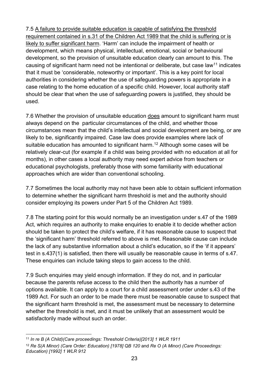7.5 A failure to provide suitable education is capable of satisfying the threshold requirement contained in s.31 of the Children Act 1989 that the child is suffering or is likely to suffer significant harm. 'Harm' can include the impairment of health or development, which means physical, intellectual, emotional, social or behavioural development, so the provision of unsuitable education clearly can amount to this. The causing of significant harm need not be intentional or deliberate, but case law<sup>11</sup> indicates that it must be 'considerable, noteworthy or important'. This is a key point for local authorities in considering whether the use of safeguarding powers is appropriate in a case relating to the home education of a specific child. However, local authority staff should be clear that when the use of safeguarding powers is justified, they should be used.

7.6 Whether the provision of unsuitable education does amount to significant harm must always depend on the particular circumstances of the child, and whether those circumstances mean that the child's intellectual and social development are being, or are likely to be, significantly impaired. Case law does provide examples where lack of suitable education has amounted to significant harm.<sup>[12](#page-22-1)</sup> Although some cases will be relatively clear-cut (for example if a child was being provided with no education at all for months), in other cases a local authority may need expert advice from teachers or educational psychologists, preferably those with some familiarity with educational approaches which are wider than conventional schooling.

7.7 Sometimes the local authority may not have been able to obtain sufficient information to determine whether the significant harm threshold is met and the authority should consider employing its powers under Part 5 of the Children Act 1989.

7.8 The starting point for this would normally be an investigation under s.47 of the 1989 Act, which requires an authority to make enquiries to enable it to decide whether action should be taken to protect the child's welfare, if it has reasonable cause to suspect that the 'significant harm' threshold referred to above is met. Reasonable cause can include the lack of any substantive information about a child's education, so if the 'if it appears' test in s.437(1) is satisfied, then there will usually be reasonable cause in terms of s.47. These enquiries can include taking steps to gain access to the child.

7.9 Such enquiries may yield enough information. If they do not, and in particular because the parents refuse access to the child then the authority has a number of options available. It can apply to a court for a child assessment order under s.43 of the 1989 Act. For such an order to be made there must be reasonable cause to suspect that the significant harm threshold is met, the assessment must be necessary to determine whether the threshold is met, and it must be unlikely that an assessment would be satisfactorily made without such an order.

<sup>-</sup><sup>11</sup> *In re B (A Child)(Care proceedings: Threshold Criteria)[2013] 1 WLR 1911*

<span id="page-22-1"></span><span id="page-22-0"></span><sup>12</sup> *Re S(A Minor) (Care Order: Education) [1978] QB 120* and *Re O (A Minor) (Care Proceedings: Education) [1992] 1 WLR 912*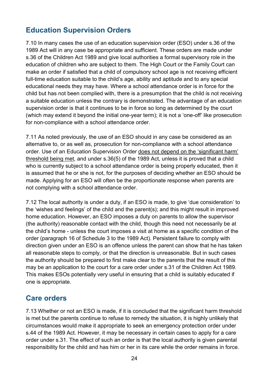## **Education Supervision Orders**

7.10 In many cases the use of an education supervision order (ESO) under s.36 of the 1989 Act will in any case be appropriate and sufficient. These orders are made under s.36 of the Children Act 1989 and give local authorities a formal supervisory role in the education of children who are subject to them. The High Court or the Family Court can make an order if satisfied that a child of compulsory school age is not receiving efficient full-time education suitable to the child's age, ability and aptitude and to any special educational needs they may have. Where a school attendance order is in force for the child but has not been complied with, there is a presumption that the child is not receiving a suitable education unless the contrary is demonstrated. The advantage of an education supervision order is that it continues to be in force so long as determined by the court (which may extend it beyond the initial one-year term); it is not a 'one-off' like prosecution for non-compliance with a school attendance order.

7.11 As noted previously, the use of an ESO should in any case be considered as an alternative to, or as well as, prosecution for non-compliance with a school attendance order. Use of an Education Supervision Order does not depend on the 'significant harm' threshold being met, and under s.36(5) of the 1989 Act, unless it is proved that a child who is currently subject to a school attendance order is being properly educated, then it is assumed that he or she is not, for the purposes of deciding whether an ESO should be made. Applying for an ESO will often be the proportionate response when parents are not complying with a school attendance order.

7.12 The local authority is under a duty, if an ESO is made, to give 'due consideration' to the 'wishes and feelings' of the child and the parent(s); and this might result in improved home education. However, an ESO imposes a duty on parents to allow the supervisor (the authority) reasonable contact with the child, though this need not necessarily be at the child's home - unless the court imposes a visit at home as a specific condition of the order (paragraph 16 of Schedule 3 to the 1989 Act). Persistent failure to comply with direction given under an ESO is an offence unless the parent can show that he has taken all reasonable steps to comply, or that the direction is unreasonable. But in such cases the authority should be prepared to first make clear to the parents that the result of this may be an application to the court for a care order under s.31 of the Children Act 1989. This makes ESOs potentially very useful in ensuring that a child is suitably educated if one is appropriate.

#### **Care orders**

7.13 Whether or not an ESO is made, if it is concluded that the significant harm threshold is met but the parents continue to refuse to remedy the situation, it is highly unlikely that circumstances would make it appropriate to seek an emergency protection order under s.44 of the 1989 Act. However, it may be necessary in certain cases to apply for a care order under s.31. The effect of such an order is that the local authority is given parental responsibility for the child and has him or her in its care while the order remains in force.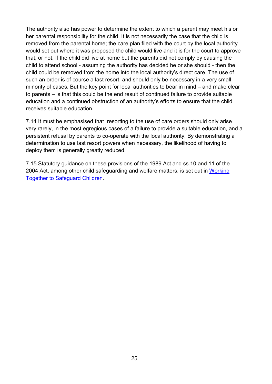The authority also has power to determine the extent to which a parent may meet his or her parental responsibility for the child. It is not necessarily the case that the child is removed from the parental home; the care plan filed with the court by the local authority would set out where it was proposed the child would live and it is for the court to approve that, or not. If the child did live at home but the parents did not comply by causing the child to attend school - assuming the authority has decided he or she should - then the child could be removed from the home into the local authority's direct care. The use of such an order is of course a last resort, and should only be necessary in a very small minority of cases. But the key point for local authorities to bear in mind – and make clear to parents – is that this could be the end result of continued failure to provide suitable education and a continued obstruction of an authority's efforts to ensure that the child receives suitable education.

7.14 It must be emphasised that resorting to the use of care orders should only arise very rarely, in the most egregious cases of a failure to provide a suitable education, and a persistent refusal by parents to co-operate with the local authority. By demonstrating a determination to use last resort powers when necessary, the likelihood of having to deploy them is generally greatly reduced.

7.15 Statutory guidance on these provisions of the 1989 Act and ss.10 and 11 of the 2004 Act, among other child safeguarding and welfare matters, is set out in Working [Together to Safeguard Children.](https://www.gov.uk/government/publications/working-together-to-safeguard-children--2)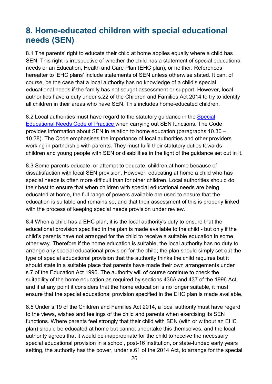## <span id="page-25-0"></span>**8. Home-educated children with special educational needs (SEN)**

8.1 The parents' right to educate their child at home applies equally where a child has SEN. This right is irrespective of whether the child has a statement of special educational needs or an Education, Health and Care Plan (EHC plan), or neither. References hereafter to 'EHC plans' include statements of SEN unless otherwise stated. It can, of course, be the case that a local authority has no knowledge of a child's special educational needs if the family has not sought assessment or support. However, local authorities have a duty under s.22 of the Children and Families Act 2014 to try to identify all children in their areas who have SEN. This includes home-educated children.

8.2 Local authorities must have regard to the statutory guidance in the [Special](https://www.gov.uk/topic/schools-colleges-childrens-services/special-educational-needs-disabilities)  [Educational Needs Code of Practice](https://www.gov.uk/topic/schools-colleges-childrens-services/special-educational-needs-disabilities) when carrying out SEN functions. The Code provides information about SEN in relation to home education (paragraphs 10.30 – 10.38). The Code emphasises the importance of local authorities and other providers working in partnership with parents. They must fulfil their statutory duties towards children and young people with SEN or disabilities in the light of the guidance set out in it.

8.3 Some parents educate, or attempt to educate, children at home because of dissatisfaction with local SEN provision. However, educating at home a child who has special needs is often more difficult than for other children. Local authorities should do their best to ensure that when children with special educational needs are being educated at home, the full range of powers available are used to ensure that the education is suitable and remains so; and that their assessment of this is properly linked with the process of keeping special needs provision under review.

8.4 When a child has a EHC plan, it is the local authority's duty to ensure that the educational provision specified in the plan is made available to the child - but only if the child's parents have not arranged for the child to receive a suitable education in some other way. Therefore if the home education is suitable, the local authority has no duty to arrange any special educational provision for the child; the plan should simply set out the type of special educational provision that the authority thinks the child requires but it should state in a suitable place that parents have made their own arrangements under s.7 of the Education Act 1996. The authority will of course continue to check the suitability of the home education as required by sections 436A and 437 of the 1996 Act, and if at any point it considers that the home education is no longer suitable, it must ensure that the special educational provision specified in the EHC plan is made available.

8.5 Under s.19 of the Children and Families Act 2014, a local authority must have regard to the views, wishes and feelings of the child and parents when exercising its SEN functions. Where parents feel strongly that their child with SEN (with or without an EHC plan) should be educated at home but cannot undertake this themselves, and the local authority agrees that it would be inappropriate for the child to receive the necessary special educational provision in a school, post-16 institution, or state-funded early years setting, the authority has the power, under s.61 of the 2014 Act, to arrange for the special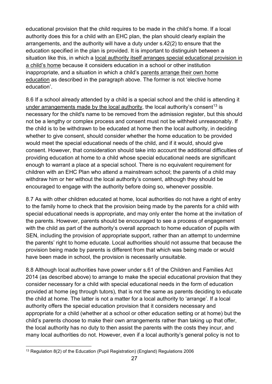educational provision that the child requires to be made in the child's home. If a local authority does this for a child with an EHC plan, the plan should clearly explain the arrangements, and the authority will have a duty under s.42(2) to ensure that the education specified in the plan is provided. It is important to distinguish between a situation like this, in which a local authority itself arranges special educational provision in a child's home because it considers education in a school or other institution inappropriate, and a situation in which a child's parents arrange their own home education as described in the paragraph above. The former is not 'elective home education'.

8.6 If a school already attended by a child is a special school and the child is attending it under arrangements made by the local authority, the local authority's consent<sup>[13](#page-26-0)</sup> is necessary for the child's name to be removed from the admission register, but this should not be a lengthy or complex process and consent must not be withheld unreasonably. If the child is to be withdrawn to be educated at home then the local authority, in deciding whether to give consent, should consider whether the home education to be provided would meet the special educational needs of the child, and if it would, should give consent. However, that consideration should take into account the additional difficulties of providing education at home to a child whose special educational needs are significant enough to warrant a place at a special school. There is no equivalent requirement for children with an EHC Plan who attend a mainstream school; the parents of a child may withdraw him or her without the local authority's consent, although they should be encouraged to engage with the authority before doing so, whenever possible.

8.7 As with other children educated at home, local authorities do not have a right of entry to the family home to check that the provision being made by the parents for a child with special educational needs is appropriate, and may only enter the home at the invitation of the parents. However, parents should be encouraged to see a process of engagement with the child as part of the authority's overall approach to home education of pupils with SEN, including the provision of appropriate support, rather than an attempt to undermine the parents' right to home educate. Local authorities should not assume that because the provision being made by parents is different from that which was being made or would have been made in school, the provision is necessarily unsuitable.

8.8 Although local authorities have power under s.61 of the Children and Families Act 2014 (as described above) to arrange to make the special educational provision that they consider necessary for a child with special educational needs in the form of education provided at home (eg through tutors), that is not the same as parents deciding to educate the child at home. The latter is not a matter for a local authority to 'arrange'. If a local authority offers the special education provision that it considers necessary and appropriate for a child (whether at a school or other education setting or at home) but the child's parents choose to make their own arrangements rather than taking up that offer, the local authority has no duty to then assist the parents with the costs they incur, and many local authorities do not. However, even if a local authority's general policy is not to

<span id="page-26-0"></span><sup>&</sup>lt;u>.</u> <sup>13</sup> Regulation 8(2) of the Education (Pupil Registration) (England) Regulations 2006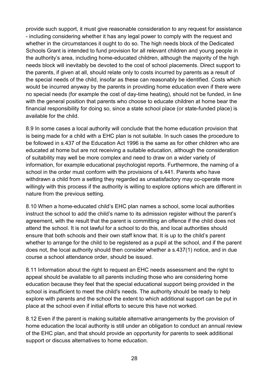provide such support, it must give reasonable consideration to any request for assistance - including considering whether it has any legal power to comply with the request and whether in the circumstances it ought to do so. The high needs block of the Dedicated Schools Grant is intended to fund provision for all relevant children and young people in the authority's area, including home-educated children, although the majority of the high needs block will inevitably be devoted to the cost of school placements. Direct support to the parents, if given at all, should relate only to costs incurred by parents as a result of the special needs of the child, insofar as these can reasonably be identified. Costs which would be incurred anyway by the parents in providing home education even if there were no special needs (for example the cost of day-time heating), should not be funded, in line with the general position that parents who choose to educate children at home bear the financial responsibility for doing so, since a state school place (or state-funded place) is available for the child.

8.9 In some cases a local authority will conclude that the home education provision that is being made for a child with a EHC plan is not suitable. In such cases the procedure to be followed in s.437 of the Education Act 1996 is the same as for other children who are educated at home but are not receiving a suitable education, although the consideration of suitability may well be more complex and need to draw on a wider variety of information, for example educational psychologist reports. Furthermore, the naming of a school in the order must conform with the provisions of s.441. Parents who have withdrawn a child from a setting they regarded as unsatisfactory may co-operate more willingly with this process if the authority is willing to explore options which are different in nature from the previous setting.

8.10 When a home-educated child's EHC plan names a school, some local authorities instruct the school to add the child's name to its admission register without the parent's agreement, with the result that the parent is committing an offence if the child does not attend the school. It is not lawful for a school to do this, and local authorities should ensure that both schools and their own staff know that. It is up to the child's parent whether to arrange for the child to be registered as a pupil at the school, and if the parent does not, the local authority should then consider whether a s.437(1) notice, and in due course a school attendance order, should be issued.

8.11 Information about the right to request an EHC needs assessment and the right to appeal should be available to all parents including those who are considering home education because they feel that the special educational support being provided in the school is insufficient to meet the child's needs. The authority should be ready to help explore with parents and the school the extent to which additional support can be put in place at the school even if initial efforts to secure this have not worked.

8.12 Even if the parent is making suitable alternative arrangements by the provision of home education the local authority is still under an obligation to conduct an annual review of the EHC plan, and that should provide an opportunity for parents to seek additional support or discuss alternatives to home education.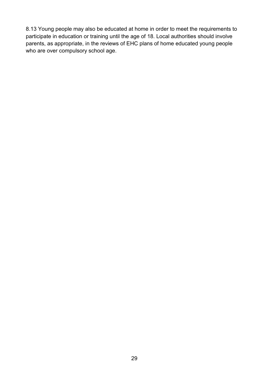8.13 Young people may also be educated at home in order to meet the requirements to participate in education or training until the age of 18. Local authorities should involve parents, as appropriate, in the reviews of EHC plans of home educated young people who are over compulsory school age.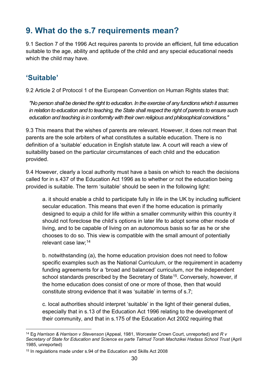## <span id="page-29-0"></span>**9. What do the s.7 requirements mean?**

9.1 Section 7 of the 1996 Act requires parents to provide an efficient, full time education suitable to the age, ability and aptitude of the child and any special educational needs which the child may have.

#### **'Suitable'**

9.2 Article 2 of Protocol 1 of the European Convention on Human Rights states that:

*"No person shall be denied the right to education. In the exercise of any functions which it assumes in relation to education and to teaching, the State shall respect the right of parents to ensure such education and teaching is in conformity with their own religious and philosophical convictions."*

9.3 This means that the wishes of parents are relevant. However, it does not mean that parents are the sole arbiters of what constitutes a suitable education. There is no definition of a 'suitable' education in English statute law. A court will reach a view of suitability based on the particular circumstances of each child and the education provided.

9.4 However, clearly a local authority must have a basis on which to reach the decisions called for in s.437 of the Education Act 1996 as to whether or not the education being provided is suitable. The term 'suitable' should be seen in the following light:

a. it should enable a child to participate fully in life in the UK by including sufficient secular education. This means that even if the home education is primarily designed to equip a child for life within a smaller community within this country it should not foreclose the child's options in later life to adopt some other mode of living, and to be capable of living on an autonomous basis so far as he or she chooses to do so. This view is compatible with the small amount of potentially relevant case law;[14](#page-29-1)

b. notwithstanding (a), the home education provision does not need to follow specific examples such as the National Curriculum, or the requirement in academy funding agreements for a 'broad and balanced' curriculum, nor the independent school standards prescribed by the Secretary of State<sup>[15](#page-29-2)</sup>. Conversely, however, if the home education does consist of one or more of those, then that would constitute strong evidence that it was 'suitable' in terms of s.7;

c. local authorities should interpret 'suitable' in the light of their general duties, especially that in s.13 of the Education Act 1996 relating to the development of their community, and that in s.175 of the Education Act 2002 requiring that

<span id="page-29-1"></span><sup>-</sup><sup>14</sup> Eg *Harrison & Harrison v Stevenson* (Appeal, 1981, Worcester Crown Court, unreported) and *R v Secretary of State for Education and Science ex parte Talmud Torah Machzikei Hadass School Trust* (April 1985, unreported)

<span id="page-29-2"></span><sup>15</sup> In regulations made under s.94 of the Education and Skills Act 2008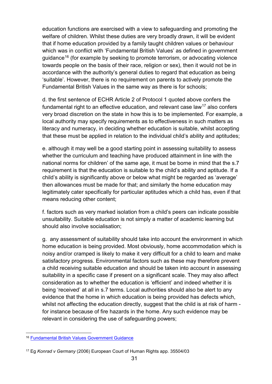education functions are exercised with a view to safeguarding and promoting the welfare of children. Whilst these duties are very broadly drawn, it will be evident that if home education provided by a family taught children values or behaviour which was in conflict with 'Fundamental British Values' as defined in government guidance[16](#page-30-0) (for example by seeking to promote terrorism, or advocating violence towards people on the basis of their race, religion or sex), then it would not be in accordance with the authority's general duties to regard that education as being 'suitable'. However, there is no requirement on parents to actively promote the Fundamental British Values in the same way as there is for schools;

d. the first sentence of ECHR Article 2 of Protocol 1 quoted above confers the fundamental right to an effective education, and relevant case law<sup>[17](#page-30-1)</sup> also confers very broad discretion on the state in how this is to be implemented. For example, a local authority may specify requirements as to effectiveness in such matters as literacy and numeracy, in deciding whether education is suitable, whilst accepting that these must be applied in relation to the individual child's ability and aptitudes;

e. although it may well be a good starting point in assessing suitability to assess whether the curriculum and teaching have produced attainment in line with the national norms for children' of the same age, it must be borne in mind that the s.7 requirement is that the education is suitable to the child's ability and aptitude. If a child's ability is significantly above or below what might be regarded as 'average' then allowances must be made for that; and similarly the home education may legitimately cater specifically for particular aptitudes which a child has, even if that means reducing other content;

f. factors such as very marked isolation from a child's peers can indicate possible unsuitability. Suitable education is not simply a matter of academic learning but should also involve socialisation;

g. any assessment of suitability should take into account the environment in which home education is being provided. Most obviously, home accommodation which is noisy and/or cramped is likely to make it very difficult for a child to learn and make satisfactory progress. Environmental factors such as these may therefore prevent a child receiving suitable education and should be taken into account in assessing suitability in a specific case if present on a significant scale. They may also affect consideration as to whether the education is 'efficient' and indeed whether it is being 'received' at all in s.7 terms. Local authorities should also be alert to any evidence that the home in which education is being provided has defects which, whilst not affecting the education directly, suggest that the child is at risk of harm for instance because of fire hazards in the home. Any such evidence may be relevant in considering the use of safeguarding powers;

<span id="page-30-0"></span><sup>-</sup><sup>16</sup> [Fundamental British Values Government Guidance](https://www.gov.uk/government/news/guidance-on-promoting-british-values-in-schools-published)

<span id="page-30-1"></span><sup>17</sup> Eg *Konrad v Germany* (2006) European Court of Human Rights app. 35504/03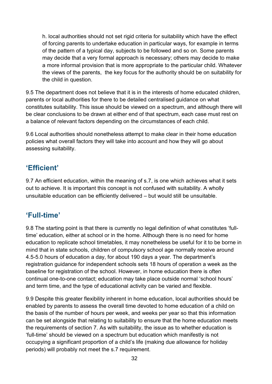h. local authorities should not set rigid criteria for suitability which have the effect of forcing parents to undertake education in particular ways, for example in terms of the pattern of a typical day, subjects to be followed and so on. Some parents may decide that a very formal approach is necessary; others may decide to make a more informal provision that is more appropriate to the particular child. Whatever the views of the parents, the key focus for the authority should be on suitability for the child in question.

9.5 The department does not believe that it is in the interests of home educated children, parents or local authorities for there to be detailed centralised guidance on what constitutes suitability. This issue should be viewed on a spectrum, and although there will be clear conclusions to be drawn at either end of that spectrum, each case must rest on a balance of relevant factors depending on the circumstances of each child.

9.6 Local authorities should nonetheless attempt to make clear in their home education policies what overall factors they will take into account and how they will go about assessing suitability.

#### **'Efficient'**

9.7 An efficient education, within the meaning of s.7, is one which achieves what it sets out to achieve. It is important this concept is not confused with suitability. A wholly unsuitable education can be efficiently delivered – but would still be unsuitable.

#### **'Full-time'**

9.8 The starting point is that there is currently no legal definition of what constitutes 'fulltime' education, either at school or in the home. Although there is no need for home education to replicate school timetables, it may nonetheless be useful for it to be borne in mind that in state schools, children of compulsory school age normally receive around 4.5-5.0 hours of education a day, for about 190 days a year. The department's registration guidance for independent schools sets 18 hours of operation a week as the baseline for registration of the school. However, in home education there is often continual one-to-one contact; education may take place outside normal 'school hours' and term time, and the type of educational activity can be varied and flexible.

9.9 Despite this greater flexibility inherent in home education, local authorities should be enabled by parents to assess the overall time devoted to home education of a child on the basis of the number of hours per week, and weeks per year so that this information can be set alongside that relating to suitability to ensure that the home education meets the requirements of section 7. As with suitability, the issue as to whether education is 'full-time' should be viewed on a spectrum but education which manifestly is not occupying a significant proportion of a child's life (making due allowance for holiday periods) will probably not meet the s.7 requirement.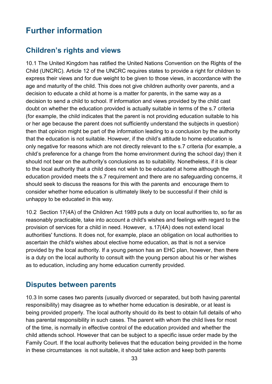## <span id="page-32-0"></span>**Further information**

#### **Children's rights and views**

10.1 The United Kingdom has ratified the United Nations Convention on the Rights of the Child (UNCRC). Article 12 of the UNCRC requires states to provide a right for children to express their views and for due weight to be given to those views, in accordance with the age and maturity of the child. This does not give children authority over parents, and a decision to educate a child at home is a matter for parents, in the same way as a decision to send a child to school. If information and views provided by the child cast doubt on whether the education provided is actually suitable in terms of the s.7 criteria (for example, the child indicates that the parent is not providing education suitable to his or her age because the parent does not sufficiently understand the subjects in question) then that opinion might be part of the information leading to a conclusion by the authority that the education is not suitable. However, if the child's attitude to home education is only negative for reasons which are not directly relevant to the s.7 criteria (for example, a child's preference for a change from the home environment during the school day) then it should not bear on the authority's conclusions as to suitability. Nonetheless, if it is clear to the local authority that a child does not wish to be educated at home although the education provided meets the s.7 requirement and there are no safeguarding concerns, it should seek to discuss the reasons for this with the parents and encourage them to consider whether home education is ultimately likely to be successful if their child is unhappy to be educated in this way.

10.2 Section 17(4A) of the Children Act 1989 puts a duty on local authorities to, so far as reasonably practicable, take into account a child's wishes and feelings with regard to the provision of services for a child in need. However, s.17(4A) does not extend local authorities' functions. It does not, for example, place an obligation on local authorities to ascertain the child's wishes about elective home education, as that is not a service provided by the local authority. If a young person has an EHC plan, however, then there is a duty on the local authority to consult with the young person about his or her wishes as to education, including any home education currently provided.

#### **Disputes between parents**

10.3 In some cases two parents (usually divorced or separated, but both having parental responsibility) may disagree as to whether home education is desirable, or at least is being provided properly. The local authority should do its best to obtain full details of who has parental responsibility in such cases. The parent with whom the child lives for most of the time, is normally in effective control of the education provided and whether the child attends school. However that can be subject to a specific issue order made by the Family Court. If the local authority believes that the education being provided in the home in these circumstances is not suitable, it should take action and keep both parents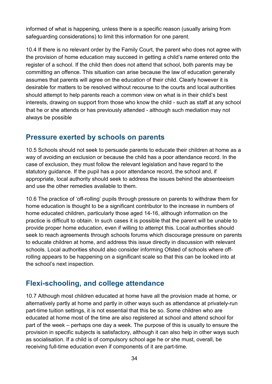informed of what is happening, unless there is a specific reason (usually arising from safeguarding considerations) to limit this information for one parent.

10.4 If there is no relevant order by the Family Court, the parent who does not agree with the provision of home education may succeed in getting a child's name entered onto the register of a school. If the child then does not attend that school, both parents may be committing an offence. This situation can arise because the law of education generally assumes that parents will agree on the education of their child. Clearly however it is desirable for matters to be resolved without recourse to the courts and local authorities should attempt to help parents reach a common view on what is in their child's best interests, drawing on support from those who know the child - such as staff at any school that he or she attends or has previously attended - although such mediation may not always be possible

#### **Pressure exerted by schools on parents**

10.5 Schools should not seek to persuade parents to educate their children at home as a way of avoiding an exclusion or because the child has a poor attendance record. In the case of exclusion, they must follow the relevant legislation and have regard to the statutory guidance. If the pupil has a poor attendance record, the school and, if appropriate, local authority should seek to address the issues behind the absenteeism and use the other remedies available to them.

10.6 The practice of 'off-rolling' pupils through pressure on parents to withdraw them for home education is thought to be a significant contributor to the increase in numbers of home educated children, particularly those aged 14-16, although information on the practice is difficult to obtain. In such cases it is possible that the parent will be unable to provide proper home education, even if willing to attempt this. Local authorities should seek to reach agreements through schools forums which discourage pressure on parents to educate children at home, and address this issue directly in discussion with relevant schools. Local authorities should also consider informing Ofsted of schools where offrolling appears to be happening on a significant scale so that this can be looked into at the school's next inspection.

### **Flexi-schooling, and college attendance**

10.7 Although most children educated at home have all the provision made at home, or alternatively partly at home and partly in other ways such as attendance at privately-run part-time tuition settings, it is not essential that this be so. Some children who are educated at home most of the time are also registered at school and attend school for part of the week – perhaps one day a week. The purpose of this is usually to ensure the provision in specific subjects is satisfactory, although it can also help in other ways such as socialisation. If a child is of compulsory school age he or she must, overall, be receiving full-time education even if components of it are part-time.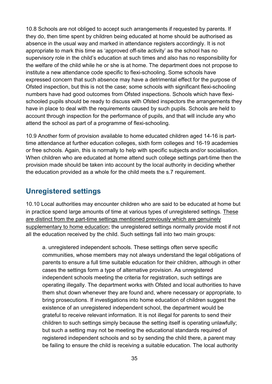10.8 Schools are not obliged to accept such arrangements if requested by parents. If they do, then time spent by children being educated at home should be authorised as absence in the usual way and marked in attendance registers accordingly. It is not appropriate to mark this time as 'approved off-site activity' as the school has no supervisory role in the child's education at such times and also has no responsibility for the welfare of the child while he or she is at home. The department does not propose to institute a new attendance code specific to flexi-schooling. Some schools have expressed concern that such absence may have a detrimental effect for the purpose of Ofsted inspection, but this is not the case; some schools with significant flexi-schooling numbers have had good outcomes from Ofsted inspections. Schools which have flexischooled pupils should be ready to discuss with Ofsted inspectors the arrangements they have in place to deal with the requirements caused by such pupils. Schools are held to account through inspection for the performance of pupils, and that will include any who attend the school as part of a programme of flexi-schooling.

10.9 Another form of provision available to home educated children aged 14-16 is parttime attendance at further education colleges, sixth form colleges and 16-19 academies or free schools. Again, this is normally to help with specific subjects and/or socialisation. When children who are educated at home attend such college settings part-time then the provision made should be taken into account by the local authority in deciding whether the education provided as a whole for the child meets the s.7 requirement.

#### **Unregistered settings**

10.10 Local authorities may encounter children who are said to be educated at home but in practice spend large amounts of time at various types of unregistered settings. These are distinct from the part-time settings mentioned previously which are genuinely supplementary to home education; the unregistered settings normally provide most if not all the education received by the child. Such settings fall into two main groups:

a. unregistered independent schools. These settings often serve specific communities, whose members may not always understand the legal obligations of parents to ensure a full time suitable education for their children, although in other cases the settings form a type of alternative provision. As unregistered independent schools meeting the criteria for registration, such settings are operating illegally. The department works with Ofsted and local authorities to have them shut down whenever they are found and, where necessary or appropriate, to bring prosecutions. If investigations into home education of children suggest the existence of an unregistered independent school, the department would be grateful to receive relevant information. It is not illegal for parents to send their children to such settings simply because the setting itself is operating unlawfully; but such a setting may not be meeting the educational standards required of registered independent schools and so by sending the child there, a parent may be failing to ensure the child is receiving a suitable education. The local authority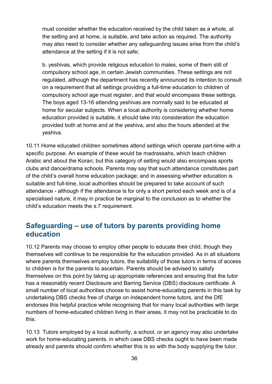must consider whether the education received by the child taken as a whole, at the setting and at home, is suitable, and take action as required. The authority may also need to consider whether any safeguarding issues arise from the child's attendance at the setting if it is not safe;

b. yeshivas, which provide religious education to males, some of them still of compulsory school age, in certain Jewish communities. These settings are not regulated, although the department has recently announced its intention to consult on a requirement that all settings providing a full-time education to children of compulsory school age must register, and that would encompass these settings. The boys aged 13-16 attending yeshivas are normally said to be educated at home for secular subjects. When a local authority is considering whether home education provided is suitable, it should take into consideration the education provided both at home and at the yeshiva, and also the hours attended at the yeshiva.

10.11 Home educated children sometimes attend settings which operate part-time with a specific purpose. An example of these would be madrassahs, which teach children Arabic and about the Koran; but this category of setting would also encompass sports clubs and dance/drama schools. Parents may say that such attendance constitutes part of the child's overall home education package; and in assessing whether education is suitable and full-time, local authorities should be prepared to take account of such attendance - although if the attendance is for only a short period each week and is of a specialised nature, it may in practice be marginal to the conclusion as to whether the child's education meets the s.7 requirement.

#### **Safeguarding – use of tutors by parents providing home education**

10.12 Parents may choose to employ other people to educate their child, though they themselves will continue to be responsible for the education provided. As in all situations where parents themselves employ tutors, the suitability of those tutors in terms of access to children is for the parents to ascertain. Parents should be advised to satisfy themselves on this point by taking up appropriate references and ensuring that the tutor has a reasonably recent Disclosure and Barring Service (DBS) disclosure certificate. A small number of local authorities choose to assist home-educating parents in this task by undertaking DBS checks free of charge on independent home tutors, and the DfE endorses this helpful practice while recognising that for many local authorities with large numbers of home-educated children living in their areas, it may not be practicable to do this.

10.13 Tutors employed by a local authority, a school, or an agency may also undertake work for home-educating parents, in which case DBS checks ought to have been made already and parents should confirm whether this is so with the body supplying the tutor.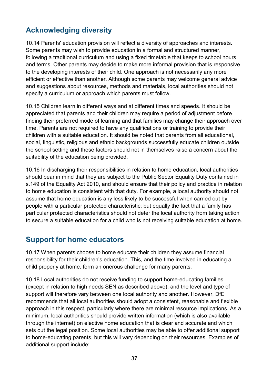## **Acknowledging diversity**

10.14 Parents' education provision will reflect a diversity of approaches and interests. Some parents may wish to provide education in a formal and structured manner, following a traditional curriculum and using a fixed timetable that keeps to school hours and terms. Other parents may decide to make more informal provision that is responsive to the developing interests of their child. One approach is not necessarily any more efficient or effective than another. Although some parents may welcome general advice and suggestions about resources, methods and materials, local authorities should not specify a curriculum or approach which parents must follow.

10.15 Children learn in different ways and at different times and speeds. It should be appreciated that parents and their children may require a period of adjustment before finding their preferred mode of learning and that families may change their approach over time. Parents are not required to have any qualifications or training to provide their children with a suitable education. It should be noted that parents from all educational, social, linguistic, religious and ethnic backgrounds successfully educate children outside the school setting and these factors should not in themselves raise a concern about the suitability of the education being provided.

10.16 In discharging their responsibilities in relation to home education, local authorities should bear in mind that they are subject to the Public Sector Equality Duty contained in s.149 of the Equality Act 2010, and should ensure that their policy and practice in relation to home education is consistent with that duty. For example, a local authority should not assume that home education is any less likely to be successful when carried out by people with a particular protected characteristic; but equally the fact that a family has particular protected characteristics should not deter the local authority from taking action to secure a suitable education for a child who is not receiving suitable education at home.

## **Support for home educators**

10.17 When parents choose to home educate their children they assume financial responsibility for their children's education. This, and the time involved in educating a child properly at home, form an onerous challenge for many parents.

10.18 Local authorities do not receive funding to support home-educating families (except in relation to high needs SEN as described above), and the level and type of support will therefore vary between one local authority and another. However, DfE recommends that all local authorities should adopt a consistent, reasonable and flexible approach in this respect, particularly where there are minimal resource implications. As a minimum, local authorities should provide written information (which is also available through the internet) on elective home education that is clear and accurate and which sets out the legal position. Some local authorities may be able to offer additional support to home-educating parents, but this will vary depending on their resources. Examples of additional support include: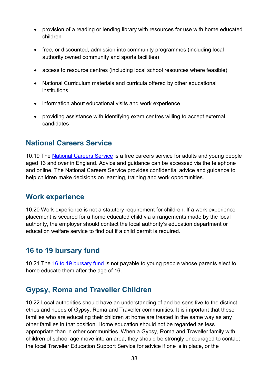- provision of a reading or lending library with resources for use with home educated children
- free, or discounted, admission into community programmes (including local authority owned community and sports facilities)
- access to resource centres (including local school resources where feasible)
- National Curriculum materials and curricula offered by other educational institutions
- information about educational visits and work experience
- providing assistance with identifying exam centres willing to accept external candidates

#### **National Careers Service**

10.19 The [National Careers Service](https://nationalcareersservice.direct.gov.uk/) is a free careers service for adults and young people aged 13 and over in England. Advice and guidance can be accessed via the telephone and online. The National Careers Service provides confidential advice and guidance to help children make decisions on learning, training and work opportunities.

#### **Work experience**

10.20 Work experience is not a statutory requirement for children. If a work experience placement is secured for a home educated child via arrangements made by the local authority, the employer should contact the local authority's education department or education welfare service to find out if a child permit is required.

### **16 to 19 bursary fund**

10.21 The [16 to 19 bursary fund](https://www.gov.uk/1619-bursary-fund) is not payable to young people whose parents elect to home educate them after the age of 16.

## **Gypsy, Roma and Traveller Children**

10.22 Local authorities should have an understanding of and be sensitive to the distinct ethos and needs of Gypsy, Roma and Traveller communities. It is important that these families who are educating their children at home are treated in the same way as any other families in that position. Home education should not be regarded as less appropriate than in other communities. When a Gypsy, Roma and Traveller family with children of school age move into an area, they should be strongly encouraged to contact the local Traveller Education Support Service for advice if one is in place, or the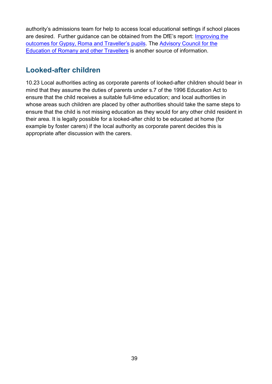authority's admissions team for help to access local educational settings if school places are desired. Further guidance can be obtained from the DfE's report: [Improving the](https://www.gov.uk/government/publications/improving-the-outcomes-for-gypsy-roma-and-traveller-pupils-final-report)  [outcomes for Gypsy, Roma and Traveller's pupils.](https://www.gov.uk/government/publications/improving-the-outcomes-for-gypsy-roma-and-traveller-pupils-final-report) The [Advisory Council for the](http://acert.org.uk/)  [Education of Romany and other Travellers](http://acert.org.uk/) is another source of information.

#### **Looked-after children**

10.23 Local authorities acting as corporate parents of looked-after children should bear in mind that they assume the duties of parents under s.7 of the 1996 Education Act to ensure that the child receives a suitable full-time education; and local authorities in whose areas such children are placed by other authorities should take the same steps to ensure that the child is not missing education as they would for any other child resident in their area. It is legally possible for a looked-after child to be educated at home (for example by foster carers) if the local authority as corporate parent decides this is appropriate after discussion with the carers.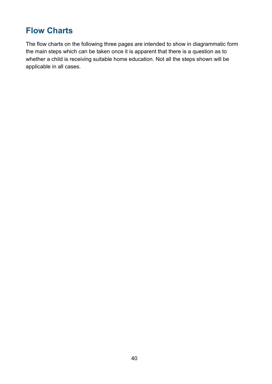## <span id="page-39-0"></span>**Flow Charts**

The flow charts on the following three pages are intended to show in diagrammatic form the main steps which can be taken once it is apparent that there is a question as to whether a child is receiving suitable home education. Not all the steps shown will be applicable in all cases.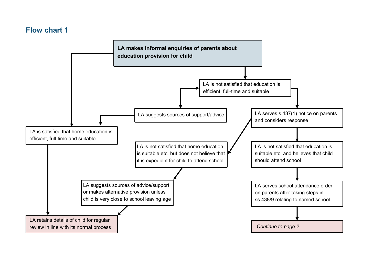#### **Flow chart 1**

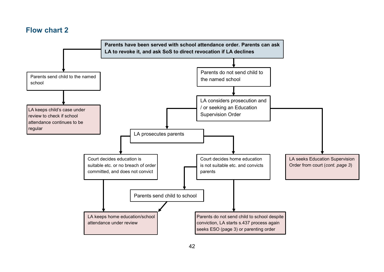#### **Flow chart 2**

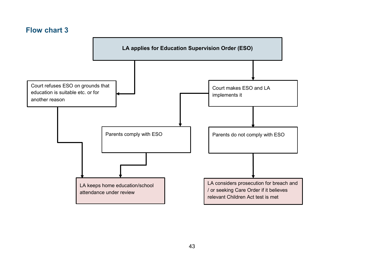#### **Flow chart 3**

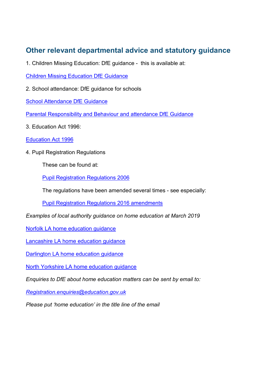#### **Other relevant departmental advice and statutory guidance**

1. Children Missing Education: DfE guidance - this is available at:

[Children Missing Education DfE Guidance](https://www.gov.uk/government/publications/children-missing-education)

2. School attendance: DfE guidance for schools

[School Attendance DfE Guidance](https://www.gov.uk/government/publications/school-attendance)

[Parental Responsibility and Behaviour and attendance DfE Guidance](https://www.gov.uk/government/publications/parental-responsibility-measures-for-behaviour-and-attendance)

3. Education Act 1996:

[Education Act 1996](http://www.legislation.gov.uk/ukpga/1996/56/contents)

4. Pupil Registration Regulations

These can be found at:

[Pupil Registration Regulations 2006](http://www.legislation.gov.uk/uksi/2006/1751/contents/made)

The regulations have been amended several times - see especially:

[Pupil Registration Regulations 2016 amendments](http://www.legislation.gov.uk/uksi/2016/792/contents/made)

*Examples of local authority guidance on home education at March 2019*

[Norfolk LA home education guidance](https://www.norfolk.gov.uk/education-and-learning/home-education/home-education-faq)

[Lancashire LA home education guidance](https://www.lancashire.gov.uk/children-education-families/educating-your-child-at-home/)

[Darlington LA home education guidance](https://www.darlington.gov.uk/education-and-learning/school-years/support-for-parents-and-pupils/elective-home-education/)

[North Yorkshire LA home education guidance](https://www.northyorks.gov.uk/home-education-and-homeschooling)

*Enquiries to DfE about home education matters can be sent by email to:*

*[Registration.enquiries@education.gov.uk](mailto:Registration.enquiries@education.gov.uk)*

*Please put 'home education' in the title line of the email*